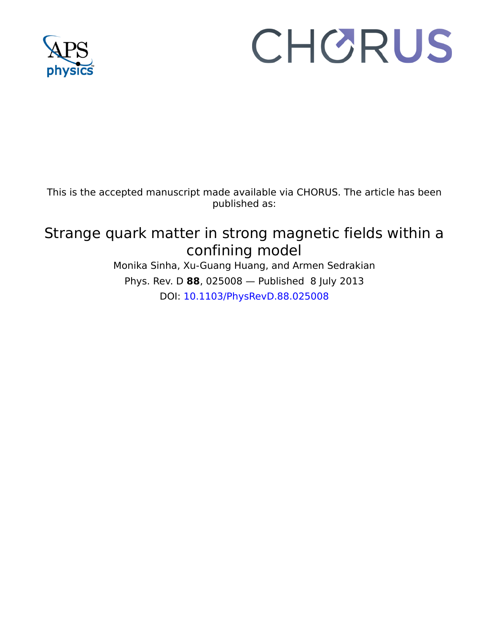

# CHORUS

This is the accepted manuscript made available via CHORUS. The article has been published as:

## Strange quark matter in strong magnetic fields within a confining model

Monika Sinha, Xu-Guang Huang, and Armen Sedrakian Phys. Rev. D **88**, 025008 — Published 8 July 2013 DOI: 10.1103/PhysRevD.88.025008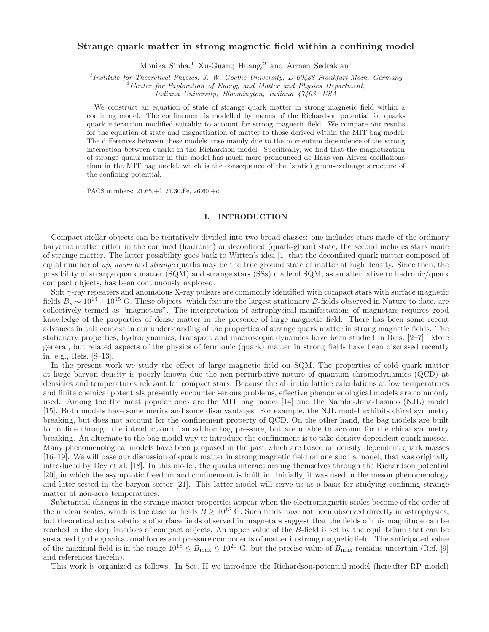### Strange quark matter in strong magnetic field within a confining model

Monika Sinha,<sup>1</sup> Xu-Guang Huang,<sup>2</sup> and Armen Sedrakian<sup>1</sup>

<sup>1</sup> Institute for Theoretical Physics, J. W. Goethe University, D-60438 Frankfurt-Main, Germany

 $2$ <sup>2</sup> Center for Exploration of Energy and Matter and Physics Department,

Indiana University, Bloomington, Indiana 47408, USA

We construct an equation of state of strange quark matter in strong magnetic field within a confining model. The confinement is modelled by means of the Richardson potential for quarkquark interaction modified suitably to account for strong magnetic field. We compare our results for the equation of state and magnetization of matter to those derived within the MIT bag model. The differences between these models arise mainly due to the momentum dependence of the strong interaction between quarks in the Richardson model. Specifically, we find that the magnetization of strange quark matter in this model has much more pronounced de Haas-van Alfven oscillations than in the MIT bag model, which is the consequence of the (static) gluon-exchange structure of the confining potential.

PACS numbers: 21.65.+f, 21.30.Fe, 26.60.+c

#### I. INTRODUCTION

Compact stellar objects can be tentatively divided into two broad classes: one includes stars made of the ordinary baryonic matter either in the confined (hadronic) or deconfined (quark-gluon) state, the second includes stars made of strange matter. The latter possibility goes back to Witten's idea [1] that the deconfined quark matter composed of equal number of  $up$ , down and strange quarks may be the true ground state of matter at high density. Since then, the possibility of strange quark matter (SQM) and strange stars (SSs) made of SQM, as an alternative to hadronic/quark compact objects, has been continuously explored.

numbers: 21.65.+f, 21.30.Fe, 26.60.+c<br>
I. INTRODUCTION<br>
Objects can be tentatively divided into two broad classes: one<br>
ther in the confined (hadronic) or deconfined (quark-gluon) st<br>
The latter possibility goes back to W Soft  $\gamma$ -ray repeaters and anomalous X-ray pulsars are commonly identified with compact stars with surface magnetic fields  $B_s \sim 10^{14} - 10^{15}$  G. These objects, which feature the largest stationary B-fields observed in Nature to date, are collectively termed as "magnetars". The interpretation of astrophysical manifestations of magnetars requires good knowledge of the properties of dense matter in the presence of large magnetic field. There has been some recent advances in this context in our understanding of the properties of strange quark matter in strong magnetic fields. The stationary properties, hydrodynamics, transport and macroscopic dynamics have been studied in Refs. [2–7]. More general, but related aspects of the physics of fermionic (quark) matter in strong fields have been discussed recently in, e.g., Refs. [8–13].

than in the WIT bgg model, which is the consequence of the (static) gluon-exchange structure of<br>the confining potential.<br>
PACS rambors 21.65.+1.21.30.Pc, 26.60.1c<br>
IDMATEL TIME CONDICTION CHARGE TRANSIFICATION (For the co In the present work we study the effect of large magnetic field on SQM. The properties of cold quark matter at large baryon density is poorly known due the non-perturbative nature of quantum chromodynamics (QCD) at densities and temperatures relevant for compact stars. Because the ab initio lattice calculations at low temperatures and finite chemical potentials presently encounter serious problems, effective phenomenological models are commonly used. Among the the most popular ones are the MIT bag model [14] and the Nambu-Jona-Lasinio (NJL) model [15]. Both models have some merits and some disadvantages. For example, the NJL model exhibits chiral symmetry breaking, but does not account for the confinement property of QCD. On the other hand, the bag models are built to confine through the introduction of an ad hoc bag pressure, but are unable to account for the chiral symmetry breaking. An alternate to the bag model way to introduce the confinement is to take density dependent quark masses. Many phenomenological models have been proposed in the past which are based on density dependent quark masses [16–19]. We will base our discussion of quark matter in strong magnetic field on one such a model, that was originally introduced by Dey et al. [18]. In this model, the quarks interact among themselves through the Richardson potential [20], in which the asymptotic freedom and confinement is built in. Initially, it was used in the meson phenomenology and later tested in the baryon sector [21]. This latter model will serve us as a basis for studying confining strange matter at non-zero temperatures.

Substantial changes in the strange matter properties appear when the electromagnetic scales become of the order of the nuclear scales, which is the case for fields  $B \ge 10^{18}$  G. Such fields have not been observed directly in astrophysics, but theoretical extrapolations of surface fields observed in magnetars suggest that the fields of this magnitude can be reached in the deep interiors of compact objects. An upper value of the B-field is set by the equilibrium that can be sustained by the gravitational forces and pressure components of matter in strong magnetic field. The anticipated value of the maximal field is in the range  $10^{18} \leq B_{\text{max}} \leq 10^{20}$  G, but the precise value of  $B_{\text{max}}$  remains uncertain (Ref. [9] and references therein).

This work is organized as follows. In Sec. II we introduce the Richardson-potential model (hereafter RP model)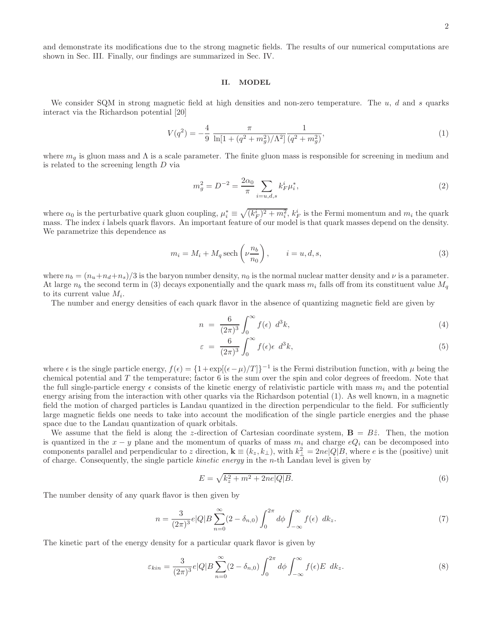and demonstrate its modifications due to the strong magnetic fields. The results of our numerical computations are shown in Sec. III. Finally, our findings are summarized in Sec. IV.

#### II. MODEL

We consider SQM in strong magnetic field at high densities and non-zero temperature. The  $u$ ,  $d$  and  $s$  quarks interact via the Richardson potential [20]

$$
V(q^2) = -\frac{4}{9} \frac{\pi}{\ln[1 + (q^2 + m_g^2)/\Lambda^2]} \frac{1}{(q^2 + m_g^2)},
$$
\n(1)

where  $m_g$  is gluon mass and  $\Lambda$  is a scale parameter. The finite gluon mass is responsible for screening in medium and is related to the screening length D via

$$
m_g^2 = D^{-2} = \frac{2\alpha_0}{\pi} \sum_{i=u,d,s} k_F^i \mu_i^*,
$$
\n(2)

where  $\alpha_0$  is the perturbative quark gluon coupling,  $\mu_i^* \equiv \sqrt{(k_F^i)^2 + m_i^2}$ ,  $k_F^i$  is the Fermi momentum and  $m_i$  the quark mass. The index i labels quark flavors. An important feature of our model is that quark masses depend on the density. We parametrize this dependence as

$$
m_i = M_i + M_q \operatorname{sech}\left(\nu \frac{n_b}{n_0}\right), \qquad i = u, d, s,
$$
\n<sup>(3)</sup>

where  $n_b = (n_u+n_d+n_s)/3$  is the baryon number density,  $n_0$  is the normal nuclear matter density and  $\nu$  is a parameter. At large  $n_b$  the second term in (3) decays exponentially and the quark mass  $m_i$  falls off from its constituent value  $M_q$ to its current value  $M_i$ .

The number and energy densities of each quark flavor in the absence of quantizing magnetic field are given by

$$
n = \frac{6}{(2\pi)^3} \int_0^\infty f(\epsilon) d^3k,
$$
\n(4)

$$
\varepsilon = \frac{6}{(2\pi)^3} \int_0^\infty f(\epsilon) \epsilon \ d^3 k,\tag{5}
$$

where  $\epsilon$  is the single particle energy,  $f(\epsilon) = \{1 + \exp[(\epsilon - \mu)/T]\}^{-1}$  is the Fermi distribution function, with  $\mu$  being the chemical potential and  $T$  the temperature; factor  $6$  is the sum over the spin and color degrees of freedom. Note that the full single-particle energy  $\epsilon$  consists of the kinetic energy of relativistic particle with mass  $m_i$  and the potential energy arising from the interaction with other quarks via the Richardson potential (1). As well known, in a magnetic field the motion of charged particles is Landau quantized in the direction perpendicular to the field. For sufficiently large magnetic fields one needs to take into account the modification of the single particle energies and the phase space due to the Landau quantization of quark orbitals.

We assume that the field is along the z-direction of Cartesian coordinate system,  $\mathbf{B} = B\hat{z}$ . Then, the motion is quantized in the  $x - y$  plane and the momentum of quarks of mass  $m_i$  and charge  $eQ_i$  can be decomposed into components parallel and perpendicular to z direction,  $\mathbf{k} \equiv (k_z, k_\perp)$ , with  $k_\perp^2 = 2ne|Q|B$ , where e is the (positive) unit of charge. Consequently, the single particle kinetic energy in the n-th Landau level is given by

$$
E = \sqrt{k_z^2 + m^2 + 2ne|Q|B}.
$$
\n(6)

The number density of any quark flavor is then given by

$$
n = \frac{3}{(2\pi)^3} e|Q| B \sum_{n=0}^{\infty} (2 - \delta_{n,0}) \int_0^{2\pi} d\phi \int_{-\infty}^{\infty} f(\epsilon) \, dk_z. \tag{7}
$$

The kinetic part of the energy density for a particular quark flavor is given by

$$
\varepsilon_{kin} = \frac{3}{(2\pi)^3} e|Q|B \sum_{n=0}^{\infty} (2 - \delta_{n,0}) \int_0^{2\pi} d\phi \int_{-\infty}^{\infty} f(\epsilon) E \, dk_z. \tag{8}
$$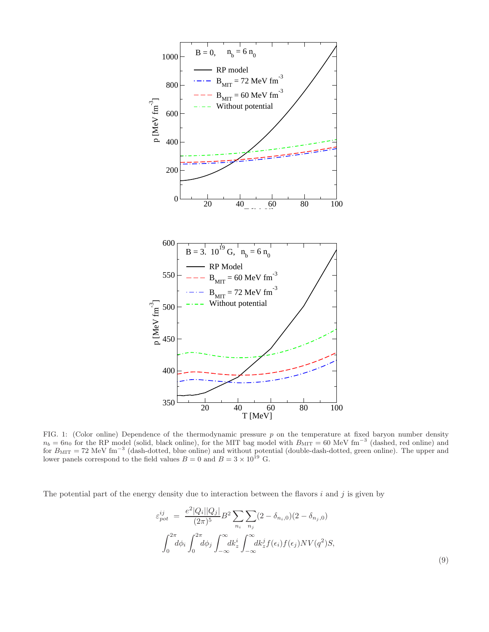

FIG. 1: (Color online) Dependence of the thermodynamic pressure p on the temperature at fixed baryon number density  $n_b = 6n_0$  for the RP model (solid, black online), for the MIT bag model with  $B_{\text{MIT}} = 60 \text{ MeV fm}^{-3}$  (da

The potential part of the energy density due to interaction between the flavors  $i$  and  $j$  is given by

$$
\varepsilon_{pot}^{ij} = \frac{e^2 |Q_i||Q_j|}{(2\pi)^5} B^2 \sum_{n_i} \sum_{n_j} (2 - \delta_{n_i,0})(2 - \delta_{n_j,0})
$$

$$
\int_0^{2\pi} d\phi_i \int_0^{2\pi} d\phi_j \int_{-\infty}^{\infty} dk_z^i \int_{-\infty}^{\infty} dk_z^j f(\epsilon_i) f(\epsilon_j) N V(q^2) S,
$$
\n(9)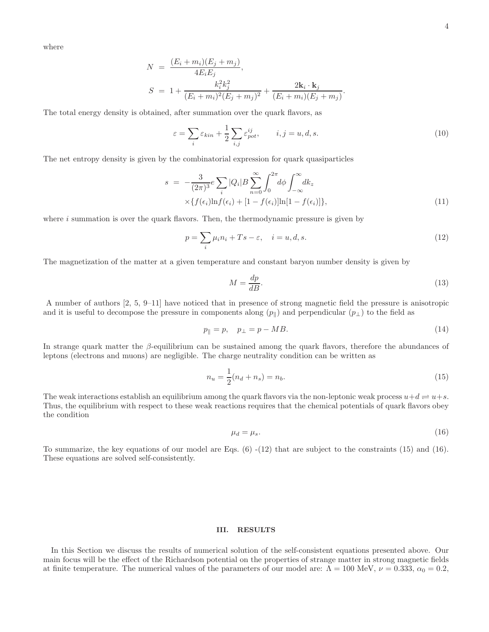where

$$
N = \frac{(E_i + m_i)(E_j + m_j)}{4E_iE_j},
$$
  
\n
$$
S = 1 + \frac{k_i^2k_j^2}{(E_i + m_i)^2(E_j + m_j)^2} + \frac{2k_i \cdot k_j}{(E_i + m_i)(E_j + m_j)}.
$$

The total energy density is obtained, after summation over the quark flavors, as

$$
\varepsilon = \sum_{i} \varepsilon_{kin} + \frac{1}{2} \sum_{i,j} \varepsilon_{pot}^{ij}, \qquad i, j = u, d, s.
$$
 (10)

The net entropy density is given by the combinatorial expression for quark quasiparticles

$$
s = -\frac{3}{(2\pi)^3} e \sum_{i} |Q_i| B \sum_{n=0}^{\infty} \int_0^{2\pi} d\phi \int_{-\infty}^{\infty} dk_z
$$
  
 
$$
\times \{ f(\epsilon_i) \ln f(\epsilon_i) + [1 - f(\epsilon_i)] \ln [1 - f(\epsilon_i)] \},
$$
 (11)

where  $i$  summation is over the quark flavors. Then, the thermodynamic pressure is given by

$$
p = \sum_{i} \mu_i n_i + T s - \varepsilon, \quad i = u, d, s. \tag{12}
$$

The magnetization of the matter at a given temperature and constant baryon number density is given by

$$
M = \frac{dp}{dB}.\tag{13}
$$

A number of authors [2, 5, 9–11] have noticed that in presence of strong magnetic field the pressure is anisotropic and it is useful to decompose the pressure in components along  $(p_{\parallel})$  and perpendicular  $(p_{\perp})$  to the field as

$$
p_{\parallel} = p, \quad p_{\perp} = p - MB. \tag{14}
$$

In strange quark matter the  $\beta$ -equilibrium can be sustained among the quark flavors, therefore the abundances of leptons (electrons and muons) are negligible. The charge neutrality condition can be written as

$$
n_u = \frac{1}{2}(n_d + n_s) = n_b.
$$
\n(15)

The weak interactions establish an equilibrium among the quark flavors via the non-leptonic weak process  $u+d \rightleftharpoons u+s$ . Thus, the equilibrium with respect to these weak reactions requires that the chemical potentials of quark flavors obey the condition

$$
\mu_d = \mu_s. \tag{16}
$$

To summarize, the key equations of our model are Eqs.  $(6)$  - $(12)$  that are subject to the constraints  $(15)$  and  $(16)$ . These equations are solved self-consistently.

#### III. RESULTS

In this Section we discuss the results of numerical solution of the self-consistent equations presented above. Our main focus will be the effect of the Richardson potential on the properties of strange matter in strong magnetic fields at finite temperature. The numerical values of the parameters of our model are:  $\Lambda = 100 \text{ MeV}, \nu = 0.333, \alpha_0 = 0.2$ ,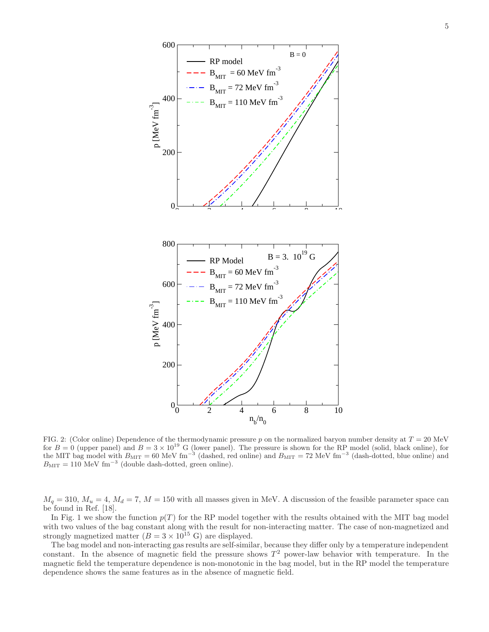

FIG. 2: (Color online) Dependence of the thermodynamic pressure p on the normalized baryon number density at  $T = 20$  MeV for  $B = 0$  (upper panel) and  $B = 3 \times 10^{19}$  G (lower panel). The pressure is shown for the RP model (solid, black online), for the MIT bag model with  $B_{\text{MIT}} = 60 \text{ MeV fm}^{-3}$  (dashed, red online) and  $B_{\text{MIT}} = 72 \text{ MeV fm}^{-3}$  (dash-dotted, blue online) and  $B_{\rm MIT} = 110$  MeV fm<sup>-3</sup> (double dash-dotted, green online).

 $M_q = 310$ ,  $M_u = 4$ ,  $M_d = 7$ ,  $M = 150$  with all masses given in MeV. A discussion of the feasible parameter space can be found in Ref. [18].

In Fig. 1 we show the function  $p(T)$  for the RP model together with the results obtained with the MIT bag model with two values of the bag constant along with the result for non-interacting matter. The case of non-magnetized and strongly magnetized matter  $(B = 3 \times 10^{15} \text{ G})$  are displayed.

The bag model and non-interacting gas results are self-similar, because they differ only by a temperature independent constant. In the absence of magnetic field the pressure shows  $T^2$  power-law behavior with temperature. In the magnetic field the temperature dependence is non-monotonic in the bag model, but in the RP model the temperature dependence shows the same features as in the absence of magnetic field.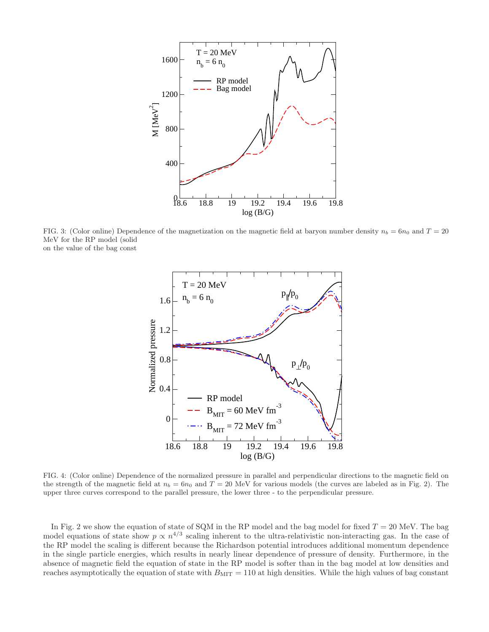

FIG. 3: (Color online) Dependence of the magnetization on the magnetic field at baryon number density  $n_b = 6n_0$  and  $T = 20$ MeV for the RP model (solid on the value of the bag const



FIG. 4: (Color online) Dependence of the normalized pressure in parallel and perpendicular directions to the magnetic field on the strength of the magnetic field at  $n_b = 6n_0$  and  $T = 20$  MeV for various models (the curves are labeled as in Fig. 2). The upper three curves correspond to the parallel pressure, the lower three - to the perpendicular pressure.

In Fig. 2 we show the equation of state of SQM in the RP model and the bag model for fixed  $T = 20$  MeV. The bag model equations of state show  $p \propto n^{4/3}$  scaling inherent to the ultra-relativistic non-interacting gas. In the case of the RP model the scaling is different because the Richardson potential introduces additional momentum dependence in the single particle energies, which results in nearly linear dependence of pressure of density. Furthermore, in the absence of magnetic field the equation of state in the RP model is softer than in the bag model at low densities and reaches asymptotically the equation of state with  $B_{\text{MIT}} = 110$  at high densities. While the high values of bag constant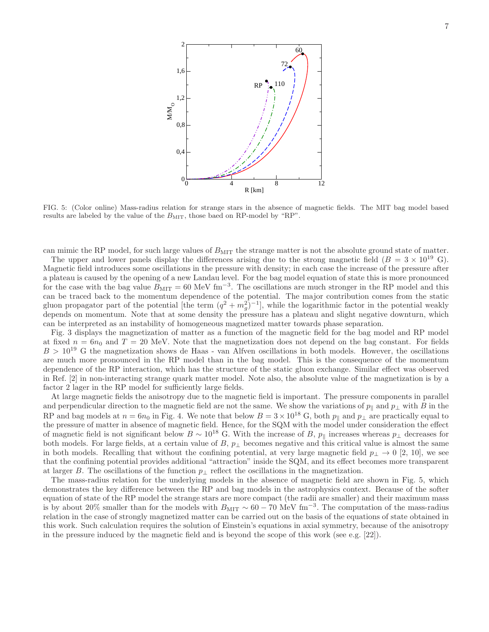

FIG. 5: (Color online) Mass-radius relation for strange stars in the absence of magnetic fields. The MIT bag model based results are labeled by the value of the  $B_{\text{MIT}}$ , those baed on RP-model by "RP".

can mimic the RP model, for such large values of  $B_{\text{MIT}}$  the strange matter is not the absolute ground state of matter.

The upper and lower panels display the differences arising due to the strong magnetic field ( $B = 3 \times 10^{19}$  G). Magnetic field introduces some oscillations in the pressure with density; in each case the increase of the pressure after a plateau is caused by the opening of a new Landau level. For the bag model equation of state this is more pronounced for the case with the bag value  $B_{\text{MIT}} = 60 \text{ MeV fm}^{-3}$ . The oscillations are much stronger in the RP model and this can be traced back to the momentum dependence of the potential. The major contribution comes from the static gluon propagator part of the potential [the term  $(q^2 + m_g^2)^{-1}$ ], while the logarithmic factor in the potential weakly depends on momentum. Note that at some density the pressure has a plateau and slight negative downturn, which can be interpreted as an instability of homogeneous magnetized matter towards phase separation.

Fig. 3 displays the magnetization of matter as a function of the magnetic field for the bag model and RP model at fixed  $n = 6n_0$  and  $T = 20$  MeV. Note that the magnetization does not depend on the bag constant. For fields  $B > 10^{19}$  G the magnetization shows de Haas - van Alfven oscillations in both models. However, the oscillations are much more pronounced in the RP model than in the bag model. This is the consequence of the momentum dependence of the RP interaction, which has the structure of the static gluon exchange. Similar effect was observed in Ref. [2] in non-interacting strange quark matter model. Note also, the absolute value of the magnetization is by a factor 2 lager in the RP model for sufficiently large fields.

At large magnetic fields the anisotropy due to the magnetic field is important. The pressure components in parallel and perpendicular direction to the magnetic field are not the same. We show the variations of  $p_{\parallel}$  and  $p_{\perp}$  with B in the RP and bag models at  $n = 6n_0$  in Fig. 4. We note that below  $B = 3 \times 10^{18}$  G, both  $p_{\parallel}$  and  $p_{\perp}$  are practically equal to the pressure of matter in absence of magnetic field. Hence, for the SQM with the model under consideration the effect of magnetic field is not significant below  $B \sim 10^{18}$  G. With the increase of B,  $p_{\parallel}$  increases whereas  $p_{\perp}$  decreases for both models. For large fields, at a certain value of B,  $p_{\perp}$  becomes negative and this critical value is almost the same in both models. Recalling that without the confining potential, at very large magnetic field  $p_{\perp} \to 0$  [2, 10], we see that the confining potential provides additional "attraction" inside the SQM, and its effect becomes more transparent at larger B. The oscillations of the function  $p_{\perp}$  reflect the oscillations in the magnetization.

The mass-radius relation for the underlying models in the absence of magnetic field are shown in Fig. 5, which demonstrates the key difference between the RP and bag models in the astrophysics context. Because of the softer equation of state of the RP model the strange stars are more compact (the radii are smaller) and their maximum mass is by about 20% smaller than for the models with  $B_{\rm MIT} \sim 60-70$  MeV fm<sup>-3</sup>. The computation of the mass-radius relation in the case of strongly magnetized matter can be carried out on the basis of the equations of state obtained in this work. Such calculation requires the solution of Einstein's equations in axial symmetry, because of the anisotropy in the pressure induced by the magnetic field and is beyond the scope of this work (see e.g. [22]).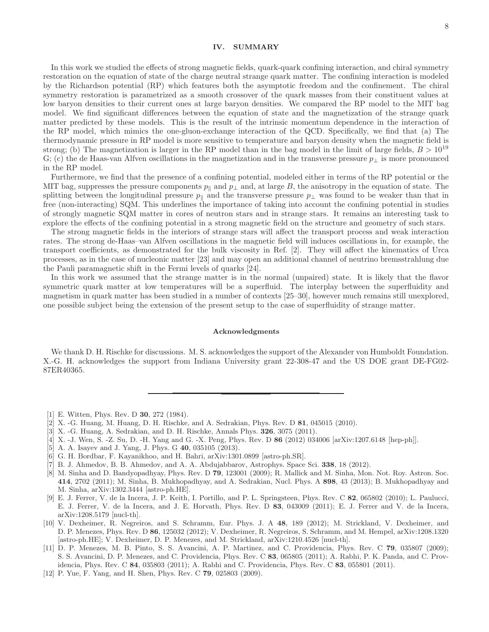#### IV. SUMMARY

In this work we studied the effects of strong magnetic fields, quark-quark confining interaction, and chiral symmetry restoration on the equation of state of the charge neutral strange quark matter. The confining interaction is modeled by the Richardson potential (RP) which features both the asymptotic freedom and the confinement. The chiral symmetry restoration is parametrized as a smooth crossover of the quark masses from their constituent values at low baryon densities to their current ones at large baryon densities. We compared the RP model to the MIT bag model. We find significant differences between the equation of state and the magnetization of the strange quark matter predicted by these models. This is the result of the intrinsic momentum dependence in the interaction of the RP model, which mimics the one-gluon-exchange interaction of the QCD. Specifically, we find that (a) The thermodynamic pressure in RP model is more sensitive to temperature and baryon density when the magnetic field is strong; (b) The magnetization is larger in the RP model than in the bag model in the limit of large fields,  $B > 10^{19}$ G; (c) the de Haas-van Alfven oscillations in the magnetization and in the transverse pressure  $p_{\perp}$  is more pronounced in the RP model.

Furthermore, we find that the presence of a confining potential, modeled either in terms of the RP potential or the MIT bag, suppresses the pressure components  $p_{\parallel}$  and  $p_{\perp}$  and, at large B, the anisotropy in the equation of state. The splitting between the longitudinal pressure  $p_{\parallel}$  and the transverse pressure  $p_{\perp}$  was found to be weaker than that in free (non-interacting) SQM. This underlines the importance of taking into account the confining potential in studies of strongly magnetic SQM matter in cores of neutron stars and in strange stars. It remains an interesting task to explore the effects of the confining potential in a strong magnetic field on the structure and geometry of such stars.

The strong magnetic fields in the interiors of strange stars will affect the transport process and weak interaction rates. The strong de-Haas–van Alfven oscillations in the magnetic field will induces oscillations in, for example, the transport coefficients, as demonstrated for the bulk viscosity in Ref. [2]. They will affect the kinematics of Urca processes, as in the case of nucleonic matter [23] and may open an additional channel of neutrino bremsstrahlung due the Pauli paramagnetic shift in the Fermi levels of quarks [24].

In this work we assumed that the strange matter is in the normal (unpaired) state. It is likely that the flavor symmetric quark matter at low temperatures will be a superfluid. The interplay between the superfluidity and magnetism in quark matter has been studied in a number of contexts [25–30], however much remains still unexplored, one possible subject being the extension of the present setup to the case of superfluidity of strange matter.

#### Acknowledgments

We thank D. H. Rischke for discussions. M. S. acknowledges the support of the Alexander von Humboldt Foundation. X.-G. H. acknowledges the support from Indiana University grant 22-308-47 and the US DOE grant DE-FG02- 87ER40365.

- [1] E. Witten, Phys. Rev. D 30, 272 (1984).
- [2] X. -G. Huang, M. Huang, D. H. Rischke, and A. Sedrakian, Phys. Rev. D 81, 045015 (2010).
- [3] X. -G. Huang, A. Sedrakian, and D. H. Rischke, Annals Phys. 326, 3075 (2011).
- [4] X. -J. Wen, S. -Z. Su, D. -H. Yang and G. -X. Peng, Phys. Rev. D 86 (2012) 034006 [arXiv:1207.6148 [hep-ph]].
- [5] A. A. Isayev and J. Yang, J. Phys. G 40, 035105 (2013).
- [6] G. H. Bordbar, F. Kayanikhoo, and H. Bahri, arXiv:1301.0899 [astro-ph.SR].
- [7] B. J. Ahmedov, B. B. Ahmedov, and A. A. Abdujabbarov, Astrophys. Space Sci. 338, 18 (2012).
- [8] M. Sinha and D. Bandyopadhyay, Phys. Rev. D 79, 123001 (2009); R. Mallick and M. Sinha, Mon. Not. Roy. Astron. Soc. 414, 2702 (2011); M. Sinha, B. Mukhopadhyay, and A. Sedrakian, Nucl. Phys. A 898, 43 (2013); B. Mukhopadhyay and M. Sinha, arXiv:1302.3444 [astro-ph.HE].
- [9] E. J. Ferrer, V. de la Incera, J. P. Keith, I. Portillo, and P. L. Springsteen, Phys. Rev. C 82, 065802 (2010); L. Paulucci, E. J. Ferrer, V. de la Incera, and J. E. Horvath, Phys. Rev. D 83, 043009 (2011); E. J. Ferrer and V. de la Incera, arXiv:1208.5179 [nucl-th].
- [10] V. Dexheimer, R. Negreiros, and S. Schramm, Eur. Phys. J. A 48, 189 (2012); M. Strickland, V. Dexheimer, and D. P. Menezes, Phys. Rev. D 86, 125032 (2012); V. Dexheimer, R. Negreiros, S. Schramm, and M. Hempel, arXiv:1208.1320 [astro-ph.HE]; V. Dexheimer, D. P. Menezes, and M. Strickland, arXiv:1210.4526 [nucl-th].
- [11] D. P. Menezes, M. B. Pinto, S. S. Avancini, A. P. Martinez, and C. Providencia, Phys. Rev. C 79, 035807 (2009); S. S. Avancini, D. P. Menezes, and C. Providencia, Phys. Rev. C 83, 065805 (2011); A. Rabhi, P. K. Panda, and C. Providencia, Phys. Rev. C 84, 035803 (2011); A. Rabhi and C. Providencia, Phys. Rev. C 83, 055801 (2011).
- [12] P. Yue, F. Yang, and H. Shen, Phys. Rev. C 79, 025803 (2009).